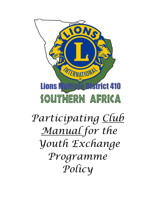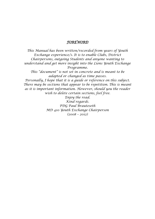### *FOREWORD*

*This Manual has been written/recorded from years of Youth Exchange experience/s. It is to enable Clubs, District Chairpersons, outgoing Students and anyone wanting to understand and get more insight into the Lions Youth Exchange Programme. This "document" is not set in concrete and is meant to be adapted or changed as time passes. Personally, I hope that it is a guide or reference on this subject. There may be sections that appear to be repetition. This is meant as it is important information. However, should you the reader wish to delete certain sections, feel free. Enjoy the read. Kind regards. PDG Paul Brauteseth MD 410 Youth Exchange Chairperson*

*(2008 – 2012)*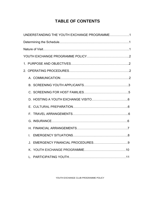# **TABLE OF CONTENTS**

| UNDERSTANDING THE YOUTH EXCHANGE PROGRAMME1 |  |
|---------------------------------------------|--|
|                                             |  |
|                                             |  |
|                                             |  |
|                                             |  |
|                                             |  |
|                                             |  |
|                                             |  |
|                                             |  |
|                                             |  |
|                                             |  |
|                                             |  |
|                                             |  |
|                                             |  |
| I.                                          |  |
| $\cdot$ .                                   |  |
|                                             |  |
|                                             |  |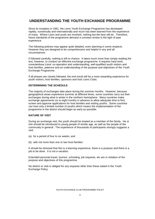### **UNDERSTANDING THE YOUTH EXCHANGE PROGRAMME**

Since its inception in 1961, the Lions Youth Exchange Programme has developed rapidly, numerically and internationally and much has been learned from the experience of many. Where Lions and youth are involved, nothing but the best will do. Therefore, future standards of the programme demand a constant review in the light of past experience.

The following policies may appear quite detailed, even alarming in some respects. However they are designed to be comprehensive and helpful in any and all circumstances.

If followed carefully, nothing is left to chance. It takes much more than simply reading the text, however, to conduct an effective exchange programme. It requires hard work, conscientious Lions' co-operation and understanding, well-qualified youth visitors and host families, patience and an understanding of the purpose and objectives of the Youth Exchange Programme.

If all phases are closely followed, the end result will be a most rewarding experience for youth visitors, host families, sponsors and host Lions Clubs.

#### **DETERMINING THE SCHEDULE**

The majority of exchanges take place during the summer months. However, because geographical areas experience summer at different times, some countries carry out their exchanges during what is winter in the northern hemisphere. Many countries make exchange agreements six to eight months in advance to allow adequate time to find, screen and approve applications for host families and visiting youths. Some countries can host only a limited number of youths which means the implementation of the programme in the district should begin as early as possible.

#### **NATURE OF VISIT**

During an exchange visit, the youth should be treated as a member of the family. He or she should be introduced to young people of similar age, as well as the people of the community in general. The experience of thousands of participants strongly suggests a visit:

- (a) for a period of four to six weeks, and
- (b) with not more than one or two host families:

It should be stressed that this is a learning experience, there is a purpose and there is a job to be done. It is not a vacation.

Extended personal travel, tourism, schooling, job requests, etc are in violation of the purpose and objectives of this programme.

No district or club is obliged for any requests other than these stated in the Youth Exchange Policy.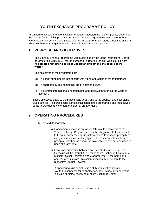### **YOUTH EXCHANGE PROGRAMME POLICY**

The Board of Directors of Lions Club International adopted the following policy governing the various facets of this programme. Since the actual agreements to sponsor or host youth are carried out by Lions, it was deemed imperative that all Lions Clubs International Youth Exchange arrangements be controlled by one standard policy.

### **1. PURPOSE AND OBJECTIVES**

The Youth Exchange Programme was authorised by the Lions International Board of Directors in early 1961, for the purpose of furthering the first Object of Lionism **"To create and foster a spirit of understanding among the people of the world".**

The objectives of the Programme are:

- (a) To bring young people into contact with youth and adults of other countries;
- (b) To share family and community life of another culture;
- (c) To promote international understanding and goodwill throughout the world of Lionism.

These objectives apply to the participating youth, and to the sponsor and host Lions clubs families. All participating parties shall conduct the programme and themselves so as to preclude any element of personal profit or gain.

### **2. OPERATING PROCEDURES**

#### **A. COMMUNICATION**

- (a) Good communications are absolutely vital to operations of the Youth Exchange Programme. It is the obligation of all participants to keep all concerned parties informed and to respond promptly to every communication of any type. The sender must be informed promptly, whether the answer is favourable or not, or to be decided upon at a later date.
- (b) Initial communication between an interested sponsor club and Host club will be through the District Youth Exchange Chairman or Multiple District Chairman where appropriate. If the name and address are unknown, this communication must be sent to the respective District Governor.

 A sponsoring club or district is a club or district sending a Youth Exchange visitor to another country. A host club or district is a club or district receiving a Youth Exchange visitor.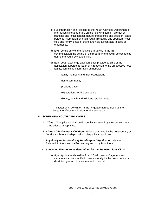- (c) Full information shall be sent to the Youth Activities Department of International Headquarters on the following items: - promotion, planning and initial contact, nature of response and decision, basic personal information on each youth, his family and sponsors, host club and family, dates of travel and visit, all contacts in case of emergency.
- (d) It will be the duty of the host club to advise in the first communication the details of the programme that will be conducted during the youth exchange visit.
- (e) Each youth exchange applicant shall provide, at time of the application, a personal letter of introduction to the prospective host family, containing information on hobbies
	- family members and their occupations
	- home community
	- previous travel
	- expectations for the exchange
	- dietary, health and religious requirements.

 The letter shall be written in the language agreed upon as the language of communication for the exchange.

#### **B. SCREENING YOUTH APPLICANTS**

- 1. *Time:*All applicants shall be thoroughly screened by the sponsor Lions Club prior to acceptance.
- 2. *Lions Club Member's Children:* Unless so stated by the host country or District, such relationship shall not disqualify an applicant.
- 3. *Physically or Economically Handicapped Applicants:* May be Selected if otherwise qualified and agreed to by Host Lions.
- 4. *Screening Factors to be determined by the Sponsor Lions Club:*
	- (a) *Age:* Applicants should be from 17 to21 years of age. (unless variations can be specified conscientiously by the host country or district on ground of its culture and customs).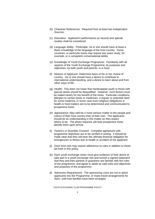- (b) Character References: Required from at least two independent Sources.
- (c) *Education:* Applicant's performance (or record) and special studies shall be considered.
- (d) *Language Ability:* Preferable, he or she should have at least a Basic knowledge of the language of the host country. Some countries, or particular hosts may require two years study, for example, or a competent conversational ability.
- (e) *Knowledge of Youth Exchange Programme:* Familiarity with all aspects of the Youth Exchange Programme, its purposes and objectives, by both youth and parents, is a must.
- (f) *Motives of Applicant*: Determine basis of his or her choice of country. He or she should have a desire to contribute to international understanding, and a desire to learn about and from other ways of life.
- (g) *Health:* This does not mean that handicapped youth or those with special needs should be disqualified. However, such factors must be stated clearly for the benefit of the hosts. Particular conditions, allergies to certain foods or medicines, a regular or potential need for some medicine, in some case even religious obligations in health or food matters are to be determined and communicated to prospective hosts.
- (h) *Appearance:* May well be a more serious matter to the people and culture of their host country than of their own. The applicants should be as understanding in this matter as they expect others to be. The photo requests will help prospective hosts identify them upon arrival.
- (i) *Parent's or Guardian Consent:* Complete agreement with programme objectives are to be verified in writing. It should be made clear that they will bear the ultimate financial obligation for emergencies or illness due to health or accident of the applicant.
- (j) Each host club may require adherence to rules in addition to those set forth in this policy.
- (k) Each youth exchange visitor must give evidence of their desire to take part in a youth exchange visit and furnish a signed statement that they and their parents or guardians are familiar with the rules of the programme, and agree to abide by said rules and objectives and purposes of the programme.
- *(l) Admission Requirement:* The sponsoring Lions are not to admit applicants into the Programme, or make travel arrangements for them, until host families have been arranged.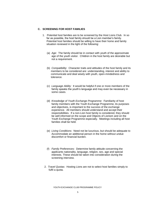#### **C. SCREENING FOR HOST FAMILIES**

- 1. Potential host families are to be screened by the Host Lions Club. In so far as possible, the host family should be a Lion member's family. Potential host families should be willing to have their home and family situation reviewed in the light of the following:
	- (a) *Age:* The family should be in contact with youth of the approximate age of the youth visitor. Children in the host family are desirable but not a requirement.
	- (b) *Compatibility:* Character traits and attitudes of the host family and its members to be considered are: understanding, interest and ability to communicate and deal wisely with youth, open-mindedness and tolerance.
	- (c) *Language Ability:* It would be helpful if one or more members of the family speaks the youth's language and may even be necessary in some cases.
	- (d) *Knowledge of Youth Exchange Programme:* Familiarity of host family members with the Youth Exchange Programme, its purposes and objectives, is important to the success of the exchange experience. All members should understand and accept their responsibilities. If a non-Lion host family is considered, they should be well informed on the scope and Objects of Lionism and on the Youth Exchange Programme especially. Meetings including all host families shall be held.
	- (e) *Living Conditions:* Need not be luxurious, but should be adequate to Accommodate an additional person in the home without undue discomfort or financial burden.
	- (f) *Family Preferences:* Determine family attitude concerning the applicants nationality, language, religion, sex, age and special interests. These should be taken into consideration during the screening interview.
	- 2. *Travel Quotas:* Hosting Lions are not to select host families simply to fulfil a quota.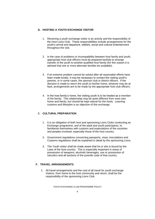#### **D. HOSTING A YOUTH EXCHANGE VISITOR**

- 1. Receiving a youth exchange visitor is an activity and the responsibility of the Host Lions Club. These responsibilities include arrangements for the youth's arrival and departure, welfare, social and cultural entertainment throughout the visit.
- 2. In the case of problems or incompatibility between host family and youth, appropriate host club officers must be prepared tactfully to arrange transfer of the youth to another qualified host family (for this reason it is advised that one or more alternate families be available).
- 3. If an extreme problem cannot be solved after all reasonable efforts have been made locally, it may be necessary to contact the visiting youth's parents, or in some cases, the sponsor club or district officers. If the decision is made to return the youth to his/her home, whoever may be at fault, arrangements are to be made by the appropriate host club officers.
- 4. In the host family's home, the visiting youth is to be treated as a member of the family. This relationship may be quite different from ones own home and family, but should be kept natural for the hosts. Learning customs and lifestyles is an objective of this exchange.

#### E. **CULTURAL PREPARATION**

- 1. It is an obligation of both host and sponsoring Lions Clubs conducting an Exchange programme, and of the adult and youth participants, to familiarise themselves with customs and expectations of the countries and peoples involved, especially those of the host country.
- 2. Government regulations concerning passports, visas, inoculations and Customs regulations shall be explained in detail by the sponsoring Lions.
- 3. The Youth visitor shall be made aware that he or she is bound by the Laws of the host country. This is especially important in areas of possession of weapons, alcoholic beverages, use or possession of narcotics and all sections of the juvenile code of that country.

#### **F. TRAVEL ARRANGEMENTS**

1. All travel arrangements and the cost of all travel for youth exchange Visitors, from home to the host community and return, shall be the responsibility of the sponsoring Lions Club.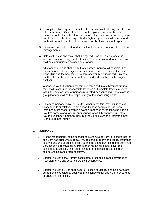- 2. Group travel arrangements must be for purposes of furthering objectives of the programme. Group travel shall not be planned only for the sake of numbers or for the sake of tourism, which places unreasonable obligations on Lions of the host country. Charter flights especially shall be arranged only with a well-established airline with excellent international experience.
- 3. Lions International Headquarters shall not plan nor be responsible for travel arrangements.
- 4. Dates of the visit and travel shall be agreed upon at least six weeks in Advance by sponsoring and host Lions. The schedule and means of travel shall be communicated as soon as arranged.
- 5. All changes of plans shall be mutually agreed upon if at all possible. Last minute unavoidable changes shall be communicated at once to the host Lions Club and the host family. Where one youth is substituted in place of another, he or she shall be as well screened and qualified as the original applicant.
- 6. Whenever Youth Exchange visitors are combined into substantial groups, they shall travel under responsible leadership. Complete travel expenses within the host country for persons requested by sponsoring Lions to act as group leaders shall be the responsibility of the sponsoring Lions.
- 7. Extended personal travel by Youth Exchange visitors, even if it is to visit close friends or relatives, is not allowed unless permission has been obtained at least one month in advance from each of the following parties: Youth's parents or guardian, sponsoring Lions Club, sponsoring District Youth Exchange Chairman, Host District Youth Exchange Chairman, host Lions Club, host family.

#### **G. INSURANCE**

- 1. It is the responsibility of the sponsoring Lions Club to verify or assure that the applicant has adequate medical, life, personal property and liability insurance to cover any and all contingencies during the entire duration of the exchange visit, including all travel time. Information on the amount of coverage considered necessary shall be obtained from the hosting Lions and/or competent insurance representative.
- 2. Sponsoring Lions shall furnish satisfactory proof of insurance coverage to Host Lion for visiting youth before their acceptance.
- 3. Sponsoring Lions Clubs shall secure Release of Liability and hold harmless agreements executed by each youth exchange visitor and his or her parents or guardian (if a minor).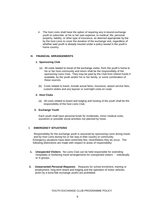4. The host Lions shall have the option of requiring any in-bound exchange youth to subscribe, at his or her own expense, to medical, life, personal property, liability, or other type of insurance, as deemed appropriate by the by the host Lions to cover the duration of the exchange visit, regardless of whether said youth is already insured under a policy issued in the youth's home country.

#### **H. FINANCIAL ARRANGEMENTS**

#### **1. Sponsoring Club**

- (a) All costs related to travel of the exchange visitor, from the youth's home to his or her host community and return shall be the responsibility of the sponsoring Lions Club. They may be paid by the Club from District funds if available, by the youth and/or his or her family, or some combination of these sources.
- (b) Costs related to travel, include actual fares, insurance, airport service fees, customs duties and any layover or overnight costs en route.

#### **2. Host Clubs**

(a) All costs related to board and lodging and hosting of the youth shall be the responsibility of the host Lions Club.

#### **3. Exchange Youth**

 Each youth shall have personal funds for incidentals, minor medical costs, souvenirs or possible social activities not planned by hosts.

#### **I. EMERGENCY SITUATIONS**

Responsibility for the exchange youth is assumed by sponsoring Lions during travel, and by host Lions during his or her stay in their country or community. Emergency situations have been extremely few, nevertheless they do occur. The following distinctions are made with respect to areas of responsibility:

- **1.** *Unexpected Visitors:* No Lions Club can be held responsible for extending Hospitality or furthering travel arrangements for unexpected visitors - individually or in groups.
- **2.** *Unwarranted Personal Requests:* Requests for school enrolment, training or employment, long-term board and lodging and the operation of motor vehicles (even by a bona fide exchange youth) are prohibited.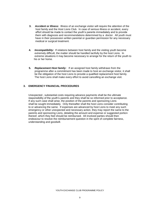- **3.** *Accident or Illness:* Illness of an exchange visitor will require the attention of the host family and the Host Lions Club. In case of serious illness or accident, every effort should be made to contact the youth's parents immediately and to provide them with diagnosis and recommendations determined by a doctor. All youth must have in their possession written parental or guardian permission for any necessary medical or surgical treatment.
- **4.** *Incompatibility:* If relations between host family and the visiting youth become extremely difficult, the matter should be handled tactfully by the host Lions. In extreme situations it may become necessary to arrange for the return of the youth to his or her home.
- **5.** *Replacement Host family:* If an assigned host family withdraws from the programme after a commitment has been made to host an exchange visitor, it shall be the obligation of the host Lions to provide a qualified replacement host family. The host Lions shall make every effort to avoid cancelling an exchange visit.

#### **3. EMERGENCY FINANCIAL PROCEDURES**

 Unexpected , substantial costs requiring advance payments shall be the ultimate responsibility of the youth's parents and they shall be so informed prior to acceptance. If any such case shall arise, the position of the parents and sponsoring Lions shall be sought immediately. Only thereafter shall the host Lions consider contributing to or advancing the same. If expenses are advanced by host Lions to meet any such emergency or other unexpected and necessary action, they may report the same to the parents and sponsoring Lions, detailing the amount and expense or suggested portion thereof, which they feel should be reimbursed. All involved parties should then endeavour to resolve the reimbursement question in the spirit of complete fairness, understanding and goodwill.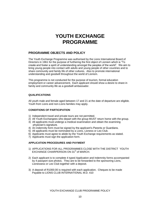# **YOUTH EXCHANGE PROGRAMME**

### **PROGRAMME OBJECTS AND POLICY**

The Youth Exchange Programme was authorised by the Lions International Board of Directors in 1961 for the purpose of furthering the first object of Lionism which is "To create and foster a spirit of understanding amongst the peoples of the world". We aim to bring young people into contact with adults and young people of other countries and to share community and family life of other cultures. Also to promote international understanding and goodwill throughout the world of Lionism.

This programme is not conducted for the purpose of tourism, formal education employment or career advancement, Each applicant should show a desire to share in family and community life as a goodwill ambassador.

#### **QUALIFICATIONS**

All youth male and female aged between 17 and 21 at the date of departure are eligible. Youth from Lions and non-Lions families may apply.

#### **CONDITIONS OF PARTICIPATION**

- 1) Independent travel and private tours are not permitted.
- 2) All Youth Exchangees who depart with the group MUST return home with the group.
- 3) All applicants must undergo a medical examination and obtain the examining physician's signature.
- 4) An indemnity form must be signed by the applicant's Parents or Guardians.
- 5) All applicants must be nominated by a Lions, Lioness or Leo Club.
- 6) Applicants must agree to abide by the Youth Exchange requirements as stated.
- 7) Applicants must sign the application form.

### **APPLICATION PROCEDURES AND PAYMENT**

- 1) APPLICATIONS FOR ALL PROGRAMMES CLOSE WITH THE DISTRICT YOUTH  $\sim$  EXCHANGE CHAIRPERSON ON 31 $^{\rm st}$  of MARCH.
- 2) Each applicant is to complete 4 typed Application and Indemnity forms accompanied by 4 passport size photos. They are to be forwarded to the sponsoring Lions, Lionessess or Leo Club together with a deposit.
- 3) A deposit of R1000.00 is required with each application. Cheques to be made Payable to LIONS CLUB INTERNATIONAL M.D. 410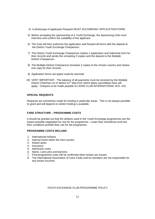- 4) A photocopy of applicants Passport MUST ACCOMPANY APPLICATION FORM.
- 5) Before accepting the sponsorship of a Youth Exchange, the Sponsoring Club must interview and confirm the suitability of the applicant.
- 6) The Club will then authorise the application and forward all forms with the deposit to the District Youth Exchange Chairperson.
- 7) The District Youth Exchange Chairperson retains 1 Application and Indemnity form for their records and sends the remaining 3 copies and the deposit to the Multiple District Chairperson.
- 8) The Multiple District Chairperson forwards 2 copies to the chosen country and retains one copy for their records.
- 9) Application forms not typed could be returned.
- 10) VERY IMPORTANT. The balance of all payments must be received by the Multiple District Chairman on or before  $31<sup>st</sup>$  May from which dates cancellation fees will apply. Cheques to be made payable to LIONS CLUB INTERNATIONAL M.D. 410.

#### **SPECIAL REQUESTS**

 Requests are sometimes made for hosting in particular areas. This is not always possible to grant and will depend on where hosting is available.

#### **FARE STRUCTURE – PROGRAMME COSTS**

It should be pointed out that the airfares used in the Youth Exchange programmes are the lowest possible negotiated for use for the programme. Lower fees sometimes exist but their conditions prohibit their use for the programme.

#### **PROGRAMME COSTS INCLUDE:**

- 1. International Airfares
- 2. Internal travel within the host country
- 3. Airport taxes
- 4. Insurance
- 5. Admission costs
- 6. Name, Lions pins and banners
- 7. Final programme costs will be confirmed when tickets are issued.
- 8. The International Association of Lions Clubs and its members are not responsible for any losses incurred.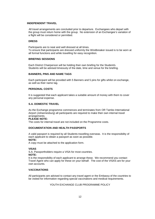#### **INDEPENDENT TRAVEL**

All travel arrangements are concluded prior to departure. Exchangees who depart with the group must return home with the group. No extension of an Exchangee's variation of a flight will be considered or permitted.

#### **DRESS**

Participants are to neat and well dressed at all times. To ensure that participants are dressed uniformly the Windbreaker issued is to be worn at all formal functions and while travelling for easy recognition.

#### **BRIEFING SESSIONS**

Each District Chairperson will be holding their own briefing for the Student/s. Students will be advised timeously of the date, time and venue for the briefing.

#### **BANNERS, PINS AND NAME TAGS**

Each participant will be provided with 5 Banners and 5 pins for gifts whilst on exchange, as well as their name tag.

#### **PERSONAL COSTS**

It is suggested that each applicant takes a suitable amount of money with them to cover any personal expense.

#### **S.A. DOMESTIC TRAVEL**

As the Exchange programme commences and terminates from OR Tambo International Airport (Johannesburg) all participants are required to make their own internal travel arrangements.

#### **PLEASE NOTE:**

The costs for internal travel are not included on the Programme costs.

#### **DOCUMENTATION AND HEALTH PASSPORTS**

A valid passport is required by all Students travelling overseas. It is the responsibility of each applicant to obtain a passport as soon as possible. **NOTE:**

A copy must be attached to the application form.

#### **VISAS**

S.A. Passportholders require a VISA for most countries.

**NOTE:**

It is the responsibility of each applicant to arrange these. We recommend you contact Travel Agent who can apply for these on your behalf. The cost of the VISAS are for your own accounts.

#### **VACCINATIONS**

All participants are advised to contact any travel agent or the Embassy of the countries to be visited for information regarding special vaccinations and medical requirements.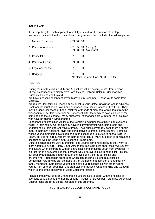#### **INSURANCE**

It is compulsory for each applicant to be fully insured for the duration of the trip. Insurance is included in the costs of each programme, which includes the following cover:

| 1. Medical Expenses   | $-$ R1 000 000                                             |
|-----------------------|------------------------------------------------------------|
| 2. Personal Accident  | - R 50 000 (in flight)<br>- R1 000 000 (24 hours)          |
| 3. Cancellation       | 5 0 0 0<br>- R                                             |
| 4. Personal Liability | - R1 000 000                                               |
| 5. Legal Assistance   | 3 0 0 0<br>- R                                             |
| 6. Baggage            | 3 0 0 0<br>- R<br>- No claim for more than R1 500 per item |

#### **HOSTING**

During the months of June, July and August we will be hosting youths from abroad. These exchangees are mainly from Italy, Mexico, Holland, Belgium, Czechoslavia, Rumania, Poland and Finland.

We have a second contingent of youth arriving in December. These youth come from Malaysia.

We require Host families. Please apply direct to your District Chairman well in advance. Host families must be approved and supported by a Lions, Lioness or Leo Club. They may be Lions,Lionesses or Leo's, relatives or friends of members or residents from the wider community. It is beneficial but not essential for the family to have children of the same age as the exchange. Many successful exchangees are with families or couples who have no children living at home.

Experienced host families will tell of the rewarding experiences of having an overseas visitor in their home. Of the fun they have in communicating with their guests and understanding their different ways of living. Their guests invariably cook them a special meal in their own traditional style and bring souvenirs of their home country. Families whose young members have taken part in an exchange are invited to host a visitor in return, but it is not a requirement for them to reciprocate. Many are keen to continue their association with the Lions Youth Exchange Programme.

Cultural exchanges are very interesting. The youths come here because they want to learn about our culture. Many South African families learn a lot about their own country and culture when confronted with an enthusiastic and enquiring youth from overseas. It is great fun to discover things that perhaps would be overlooked in normal life. To see our country and natural beauty through the eyes of a visitor is surprising and enlightening. Friendships are formed which can become life-long relationships. Sometimes, return visits can be made to visit the home of a host son or daughter by family members. Sometimes youths often strike up relationships with other visiting youths from different countries, this promotes International Understanding and Goodwill which is one of the objectives of Lions Clubs International.

Please contact your District Chairperson if you are able to assist with the hosting of overseas youths during the months of June – August or December – January. All District Chairpersons are listed on the last page of this brochure.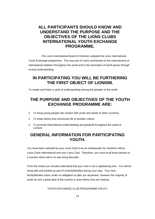# **ALL PARTICIPANTS SHOULD KNOW AND UNDERSTAND THE PURPOSE AND THE OBJECTIVES OF THE LIONS CLUBS INTERNATIONAL YOUTH EXCHANGE PROGRAMME.**

 ,The Lions International Board of Directors adopted the Lions International Youth Exchange programme. This was part of Lions contribution to the improvement of International relations throughout the world and to the promotion of world peace through mutual understanding.

## **IN PARTICIPATING YOU WILL BE FURTHERING THE FIRST OBJECT OF LIONISM.**

To create and foster a spirit of understanding among the peoples of the world.

# **THE PURPOSE AND OBJECTIVES OF THE YOUTH EXCHANGE PROGRAMME ARE:**

- 1. To bring young people into contact with youth and adults of other countries.
- 2. To share family and community life of another culture.
- 3. To promote International understanding and goodwill throughout the world of Lionism.

## **GENERAL INFORMATION FOR PARTICIPATING YOUTH.**

 You have been selected by your Lions Club to be an ambassador for Southern Africa, Lions Clubs International and your Lions Club. Therefore, you must at all times behave in a manner which will in no way bring discredit.

 From the outset you should understand that your visit is not a sightseeing tour. You will be living with and treated as part of a family/families during your stay. Your host family/families is/are under no obligation to take you anywhere, however the majority of youth do see a great deal of the country or area where they are staying.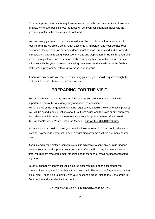On your application form you may have requested to be hosted in a particular town, city or state. Wherever possible, your request will be given consideration: however, the governing factor is the availability of Host families.

You are strongly advised to maintain a folder in which to file the information you will receive from the Multiple District Youth Exchange Chairperson and your District Youth Exchange Chairperson. All correspondence must be read, understood and answered immediately. Details relating to passports, visas and Department of Health requirements are frequently altered and the responsibility of keeping this information updated rests ultimately with the youth involved. By being slow to respond you will delay the finalising of the whole programme, affecting everyone in your group.

It there are any details you require concerning your trip you should enquire through the Multiple District Youth Exchange Chairperson.

# **PREPARING FOR THE VISIT.**

You should have studied the culture of the country you are about to visit including important details of history, geography and social composition. While fluency of the language may not be required you should know some basic phrases. You will be asked many questions about Southern Africa and the town or city where you live. Therefore, it is important to refresh your knowledge of Southern Africa. Read through the "Students Youth Exchange Manual". **It is on the MD 410 website.**

If you are going to cold climates you may find it extremely cold. You should take warm clothing, however do not forget to pack a swimming costume as there are many heated pools.

If you intend buying clothes, souvenirs etc. it is advisable to send any surplus luggage back to Southern Africa prior to your departure. If you will not require them for some time, return them by surface mail, otherwise send them back by air as unaccompanied luggage.

Youth Exchange Windbreaker will be issued once you have been accepted to your country of exchange and your deposit has been paid. Please do not forget to supply your jacket size. These help to identity with your exchange group, also to the Lions group in South Africa and your destination country.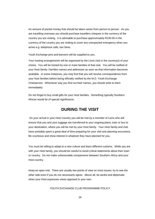An amount of pocket money that should be taken varies from person to person. As you are travelling overseas you should purchase travellers cheques in the currency of the country you are visiting. It is advisable to purchase approximately R100.00 in the currency of the country you are visiting to cover any unexpected emergency when you arrive e.g. telephone calls, taxi fares.

Youth Exchange pins and banners will be supplied to you.

Your hosting arrangements will be organised by the Lions club in the country(s) of your choice. You will be hosted by one or mare families of that club. You will be notified of your Host family / families names and addresses as soon as that information becomes available. In some instances, you may find that you will receive correspondence from your host families before being officially notified by the M.D. Youth Exchange Chairperson. Whichever way you find out their names, you should write to them immediately.

Do not forget to buy small gifts for your Host families. Something typically Southern African would be of special significance.

### **DURING THE VISIT**

On your arrival in your Host Country you will be met by a member of Lions who will ensure that you and your luggage are transferred to your ongoing plane, train or bus to your destination, where you will be met by your Host family. Your Host family and club have probably spent a great deal of time preparing for your visit and planning excursions. Be courteous and show interest in whatever they have planned for you.

You must be willing to adapt to a new culture and learn different customs. While you are with your Host family, you should be careful to avoid critical statements about their town or country. Do not make unfavourable comparisons between Southern Africa and your Host country.

Keep an open mid. There are usually two points of view on most issues; try to see the other side even if you do not necessarily agree. Above all, be tactful and diplomatic when your Host expresses views opposed to your own.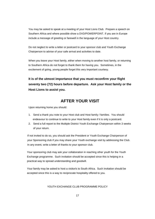You may be asked to speak at a meeting of your Host Lions Club. Prepare a speech on Southern Africa and where possible show a DVD/POWERPOINT. If you are in Europe include a message of greeting or farewell in the language of your Host country.

Do not neglect to write a letter or postcard to your sponsor club and Youth Exchange Chairperson to advise of your safe arrival and activities to date.

When you leave your Host family, either when moving to another host family, or returning to Southern Africa do not forget to thank them for having you. Sometimes, in the excitement of going, young people forget this very important courtesy.

**It is of the utmost importance that you must reconfirm your flight seventy two (72) hours before departure. Ask your Host family or the Host Lions to assist you.**

## **AFTER YOUR VISIT**

Upon returning home you should:

- 1. Send a thank you note to your Host club and Host family / families. You should endeavour to continue to write to your Host family even if it is only a postcard.
- 2. Send a full report to the Multiple District Youth Exchange Chairperson within 3 weeks of your return.

If not invited to do so, you should ask the President or Youth Exchange Chairperson of your Sponsoring club if you may share your Youth exchange visit by addressing the Club. In any event, write a letter of thanks to your sponsor club.

 Your sponsoring club may ask your collaboration in reaching other youth for the Youth Exchange programme. Such invitation should be accepted since this is helping in a practical way to spread understanding and goodwill.

 Your family may be asked to host a visitor/s to South Africa. Such invitation should be accepted since this is a way to reciprocate hospitality offered to you.